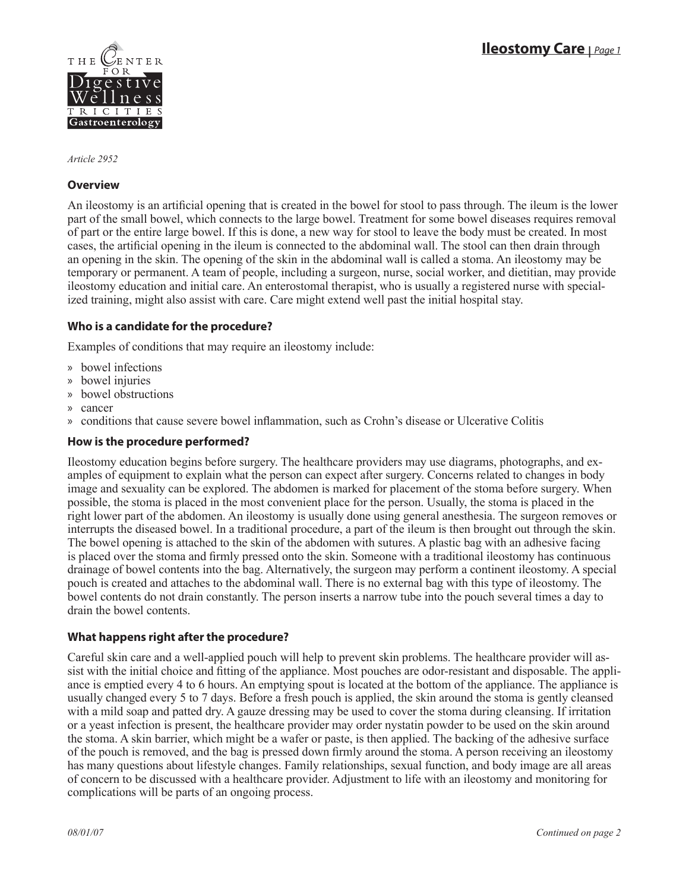

*Article 2952*

# **Overview**

An ileostomy is an artificial opening that is created in the bowel for stool to pass through. The ileum is the lower part of the small bowel, which connects to the large bowel. Treatment for some bowel diseases requires removal of part or the entire large bowel. If this is done, a new way for stool to leave the body must be created. In most cases, the artificial opening in the ileum is connected to the abdominal wall. The stool can then drain through an opening in the skin. The opening of the skin in the abdominal wall is called a stoma. An ileostomy may be temporary or permanent. A team of people, including a surgeon, nurse, social worker, and dietitian, may provide ileostomy education and initial care. An enterostomal therapist, who is usually a registered nurse with specialized training, might also assist with care. Care might extend well past the initial hospital stay.

# **Who is a candidate for the procedure?**

Examples of conditions that may require an ileostomy include:

- bowel infections »
- bowel injuries »
- bowel obstructions »
- cancer »
- » conditions that cause severe bowel inflammation, such as Crohn's disease or Ulcerative Colitis

## **How is the procedure performed?**

Ileostomy education begins before surgery. The healthcare providers may use diagrams, photographs, and examples of equipment to explain what the person can expect after surgery. Concerns related to changes in body image and sexuality can be explored. The abdomen is marked for placement of the stoma before surgery. When possible, the stoma is placed in the most convenient place for the person. Usually, the stoma is placed in the right lower part of the abdomen. An ileostomy is usually done using general anesthesia. The surgeon removes or interrupts the diseased bowel. In a traditional procedure, a part of the ileum is then brought out through the skin. The bowel opening is attached to the skin of the abdomen with sutures. A plastic bag with an adhesive facing is placed over the stoma and firmly pressed onto the skin. Someone with a traditional ileostomy has continuous drainage of bowel contents into the bag. Alternatively, the surgeon may perform a continent ileostomy. A special pouch is created and attaches to the abdominal wall. There is no external bag with this type of ileostomy. The bowel contents do not drain constantly. The person inserts a narrow tube into the pouch several times a day to drain the bowel contents.

# **What happens right after the procedure?**

Careful skin care and a well-applied pouch will help to prevent skin problems. The healthcare provider will assist with the initial choice and fitting of the appliance. Most pouches are odor-resistant and disposable. The appliance is emptied every 4 to 6 hours. An emptying spout is located at the bottom of the appliance. The appliance is usually changed every 5 to 7 days. Before a fresh pouch is applied, the skin around the stoma is gently cleansed with a mild soap and patted dry. A gauze dressing may be used to cover the stoma during cleansing. If irritation or a yeast infection is present, the healthcare provider may order nystatin powder to be used on the skin around the stoma. A skin barrier, which might be a wafer or paste, is then applied. The backing of the adhesive surface of the pouch is removed, and the bag is pressed down firmly around the stoma. A person receiving an ileostomy has many questions about lifestyle changes. Family relationships, sexual function, and body image are all areas of concern to be discussed with a healthcare provider. Adjustment to life with an ileostomy and monitoring for complications will be parts of an ongoing process.